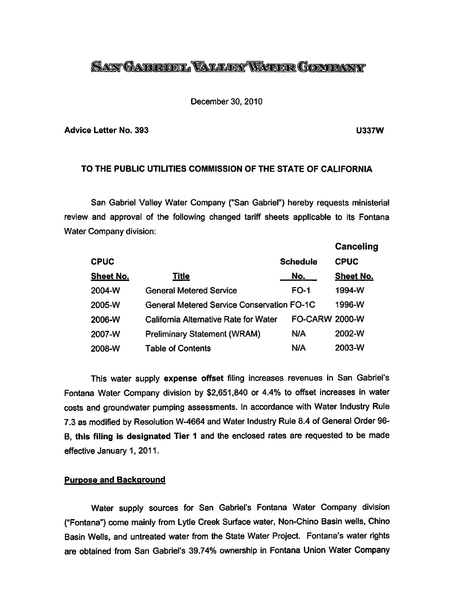# *LAN GABRUEL VALLEY WATER GOMPANY*

#### December 30, 2010

#### *Advice Letter No. 393 U337W*

# *TO THE PUBLIC UTILITIES COMMISSION OF THE STATE OF CALIFORNIA*

San Gabriel Valley Water Company ("San Gabriel") hereby requests ministerial review and approval of the following changed tariff sheets applicable to its Fontana Water Company division:

|                  |                                                   |                       | Canceling        |
|------------------|---------------------------------------------------|-----------------------|------------------|
| <b>CPUC</b>      |                                                   | <b>Schedule</b>       | <b>CPUC</b>      |
| <b>Sheet No.</b> | Title                                             | No.                   | <b>Sheet No.</b> |
| 2004-W           | <b>General Metered Service</b>                    | <b>FO-1</b>           | 1994-W           |
| 2005-W           | <b>General Metered Service Conservation FO-1C</b> |                       | 1996-W           |
| 2006-W           | California Alternative Rate for Water             | <b>FO-CARW 2000-W</b> |                  |
| 2007-W           | <b>Preliminary Statement (WRAM)</b>               | N/A                   | 2002-W           |
| 2008-W           | Table of Contents                                 | N/A                   | 2003-W           |

This water supply *expense offset* filing increases revenues in San Gabriel's Fontana Water Company division by \$2,651,840 or 4.4% to offset increases in water costs and groundwater pumping assessments. In accordance with Water Industry Rule 7.3 as modified by Resolution W-4664 and Water Industry Rule 8.4 of General Order 96- *B, this filing is designated Tier 1* and the enclosed rates are requested to be made effective January 1, 2011.

#### *Purpose and Background*

Water supply sources for San Gabriel's Fontana Water Company division ("Fontana") come mainly from Lytle Creek Surface water, Non-Chino Basin wells, Chino Basin Wells, and untreated water from the State Water Project. Fontana's water rights are obtained from San Gabriel's 39.74% ownership in Fontana Union Water Company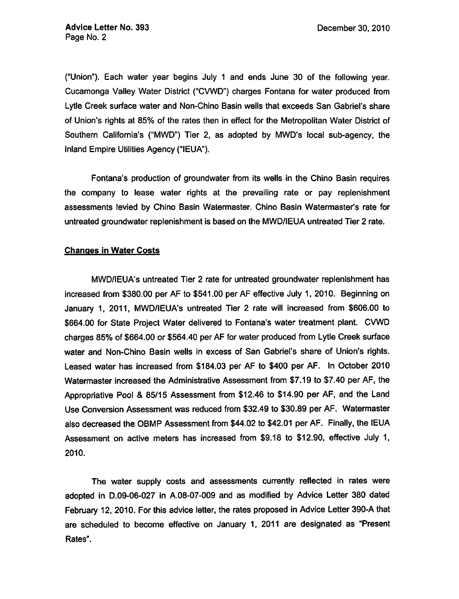("Union"). Each water year begins July 1 and ends June 30 of the following year. Cucamonga Valley Water District ("CVWD") charges Fontana for water produced from Lytle Creek surface water and Non-Chino Basin wells that exceeds San Gabriel's share of Union's rights at 85% of the rates then in effect for the Metropolitan Water District of Southern California's ("MWD") Tier 2, as adopted by MWD's local sub-agency, the Inland Empire Utilities Agency ("IEUA").

Fontana's production of groundwater from its wells in the Chino Basin requires the company to lease water rights at the prevailing rate or pay replenishment assessments levied by Chino Basin Watermaster. Chino Basin Watermaster's rate for untreated groundwater replenishment is based on the MWD/IEUA untreated Tier 2 rate.

#### *Changes in Water Costs*

MWD/IEUA's untreated Tier 2 rate for untreated groundwater replenishment has increased from \$380.00 per AF to \$541.00 per AF effective July 1, 2010. Beginning on January 1, 2011, MWD/IEUA's untreated Tier 2 rate will increased from \$606.00 to \$664.00 for State Project Water delivered to Fontana's water treatment plant. CVWD charges 85% of \$664.00 or \$564.40 per AF for water produced from Lytle Creek surface water and Non-Chino Basin wells in excess of San Gabriel's share of Union's rights. Leased water has increased from \$184.03 per AF to \$400 per AF. In October 2010 Watermaster increased the Administrative Assessment from \$7.19 to \$7.40 per AF, the Appropriative Pool & 85/15 Assessment from \$12.46 to \$14.90 per AF, and the Land Use Conversion Assessment was reduced from \$32.49 to \$30.89 per AF. Watermaster also decreased the OBMP Assessment from \$44.02 to \$42.01 per AF. Finally, the IEUA Assessment on active meters has increased from \$9.18 to \$12.90, effective July 1, 2010.

The water supply costs and assessments currently reflected in rates were adopted in D.09-06-027 in A.08-07-009 and as modified by Advice Letter 380 dated February 12, 2010. For this advice letter, the rates proposed in Advice Letter 390-A that are scheduled to become effective on January 1, 2011 are designated as "Present Rates".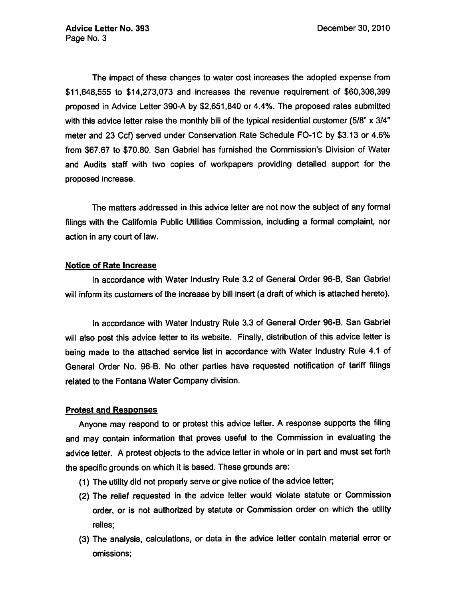The impact of these changes to water cost increases the adopted expense from \$11,648,555 to \$14,273,073 and increases the revenue requirement of \$60,308,399 proposed in Advice Letter 390-A by \$2,651,840 or 4.4%. The proposed rates submitted with this advice letter raise the monthly bill of the typical residential customer (5/8" x 3/4" meter and 23 Ccf) served under Conservation Rate Schedule FO-1C by \$3.13 or 4.6% from \$67.67 to \$70.80. San Gabriel has furnished the Commission's Division of Water and Audits staff with two copies of workpapers providing detailed support for the proposed increase.

The matters addressed in this advice letter are not now the subject of any formal filings with the California Public Utilities Commission, including a formal complaint, nor action in any court of law.

## *Notice of Rate Increase*

In accordance with Water Industry Rule 3.2 of General Order 96-B, San Gabriel will inform its customers of the increase by bill insert (a draft of which is attached hereto).

In accordance with Water Industry Rule 3.3 of General Order 96-B, San Gabriel will also post this advice letter to its website. Finally, distribution of this advice letter is being made to the attached service list in accordance with Water Industry Rule 4.1 of General Order No. 96-B. No other parties have requested notification of tariff filings related to the Fontana Water Company division.

# *Protest and Responses*

Anyone may respond to or protest this advice letter. A response supports the filing and may contain information that proves useful to the Commission in evaluating the advice letter. A protest objects to the advice letter in whole or in part and must set forth the specific grounds on which it is based. These grounds are:

- (1) The utility did not properly serve or give notice of the advice letter;
- (2) The relief requested in the advice letter would violate statute or Commission order, or is not authorized by statute or Commission order on which the utility relies;
- (3) The analysis, calculations, or data in the advice letter contain material error or omissions;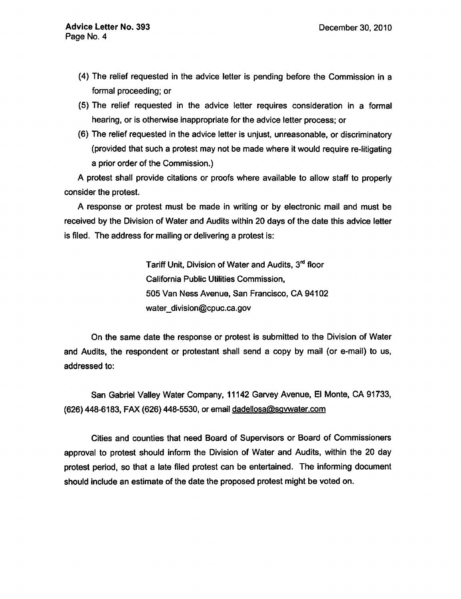- (4) The relief requested in the advice letter is pending before the Commission in a formal proceeding; or
- (5) The relief requested in the advice letter requires consideration in a formal hearing, or is otherwise inappropriate for the advice letter process; or
- (6) The relief requested in the advice letter is unjust, unreasonable, or discriminatory (provided that such a protest may not be made where it would require re-litigating a prior order of the Commission.)

A protest shall provide citations or proofs where available to allow staff to properly consider the protest.

A response or protest must be made in writing or by electronic mail and must be received by the Division of Water and Audits within 20 days of the date this advice letter is filed. The address for mailing or delivering a protest is:

> Tariff Unit, Division of Water and Audits, 3<sup>rd</sup> floor California Public Utilities Commission, 505 Van Ness Avenue, San Francisco, CA 94102 water\_division@cpuc.ca.gov

On the same date the response or protest is submitted to the Division of Water and Audits, the respondent or protestant shall send a copy by mail (or e-mail) to us, addressed to:

San Gabriel Valley Water Company, 11142 Garvey Avenue, El Monte, CA 91733, (626) 448-6183, FAX (626) 448-5530, or email dadellosa@sgywater.com

Cities and counties that need Board of Supervisors or Board of Commissioners approval to protest should inform the Division of Water and Audits, within the 20 day protest period, so that a late filed protest can be entertained. The informing document should include an estimate of the date the proposed protest might be voted on.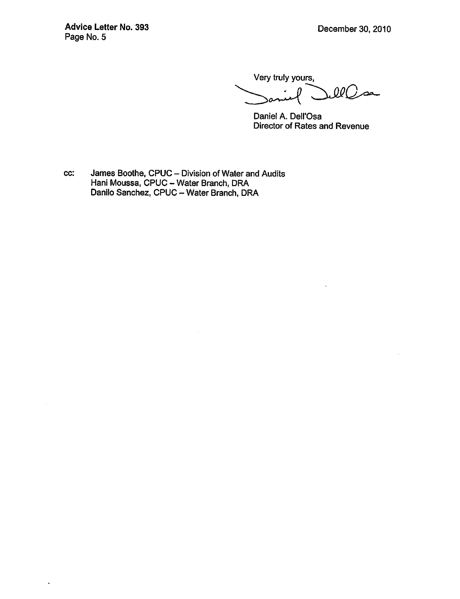*Advice LetterNo. 393* December 30, 2010 Page No. 5

 $\ddot{\phantom{0}}$ 

Very truly yours,  $\mathcal{Q} \mathcal{Q}$  $\overline{\mathcal{L}}$ 

Daniel A. Dell'Osa Director of Rates and Revenue

cc: James Boothe, CPUC - Division of Water and Audits Hani Moussa, CPUC - Water Branch, DRA Danilo Sanchez, CPUC - Water Branch, DRA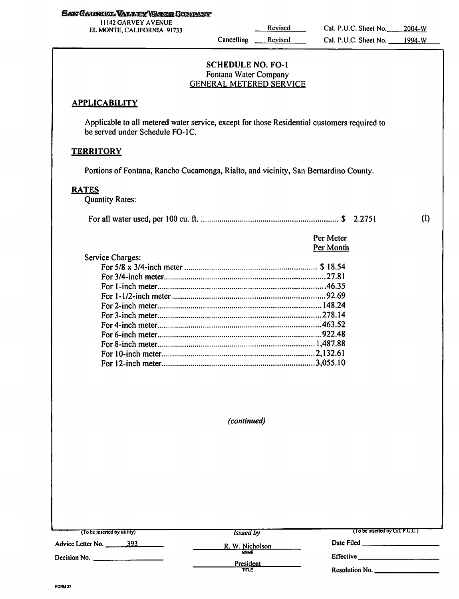#### *S^^G&T33ROSl«^ljlilE^\SkriMEGOStISVS!jr*

*11142 GARVEY AVENUE EL MONTE. CALIFORNIA <sup>91733</sup> Revised*

*Cancelling Revised*

## *SCHEDULE* NO. *FO-1* Fontana Water Company GENERAL METERED SERVICE

## *APPLICABILITY*

Applicable to all metered water service, except for those Residential customers required to be served under Schedule FO-1C.

#### *TERRITORY*

Portions of Fontana, Rancho Cucamonga, Rialto, and vicinity, San Bernardino County.

#### *RATES*

Quantity Rates:

| Per Meter |
|-----------|
| Per Month |

(I)

| Service Charges: |  |
|------------------|--|
|                  |  |
|                  |  |
|                  |  |
|                  |  |
|                  |  |
|                  |  |
|                  |  |
|                  |  |
|                  |  |
|                  |  |
|                  |  |

**(continued)**

| (To be inserted by utility) | <i>Issued by</i>   | $(10$ be inserted by Cal. P.U.C.)   |
|-----------------------------|--------------------|-------------------------------------|
| Advice Letter No. 393       | R. W. Nicholson    | Date Filed                          |
| Decision No.                | <b>NAME</b>        | Effective                           |
|                             | President<br>TITLE | Resolution No. <b>Example</b> 1996. |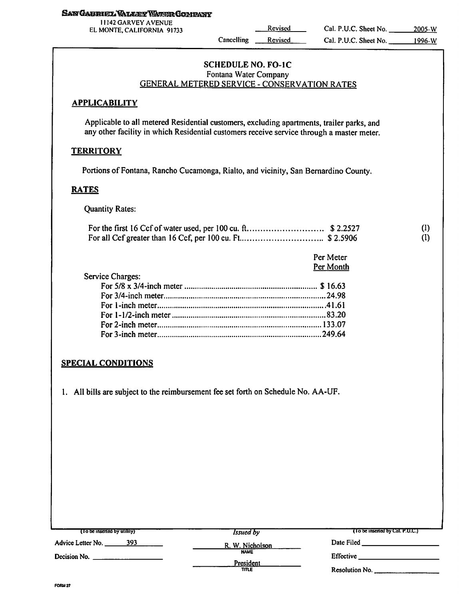#### **SAN GABRIEL VALLEY VARER COMPANY**

11142 GARVEY AVENUE EL MONTE, CALIFORNIA 91733

**Cancelling** Revised Revised

(I) (1)

# *SCHEDULE NO. FO-1C* Fontana Water Company GENERAL METERED SERVICE - CONSERVATION RATES

## *APPLICABILITY*

Applicable to all metered Residential customers, excluding apartments, trailer parks, and any other facility in which Residential customers receive service through a master meter.

# *TERRITORY*

Portions of Fontana, Rancho Cucamonga, Rialto, and vicinity, San Bernardino County.

## *RATES*

Quantity Rates:

|                  | Per Meter |
|------------------|-----------|
|                  | Per Month |
| Service Charges: |           |
|                  |           |
|                  |           |
|                  |           |
|                  |           |
|                  |           |
|                  |           |
|                  |           |

# *SPECIAL CONDITIONS*

1. All bills are subject to the reimbursement fee set forth on Schedule No. AA-UF.

| $(10$ be inserted by utility) | <i>Issued</i> by         | (10 be inserted by Cal. P.U.C.) |
|-------------------------------|--------------------------|---------------------------------|
| 393<br>Advice Letter No.      | R. W. Nicholson          | Date Filed                      |
| Decision No.                  | <b>NAME</b><br>President | <b>Effective</b>                |
|                               | TITLE                    | Resolution No.                  |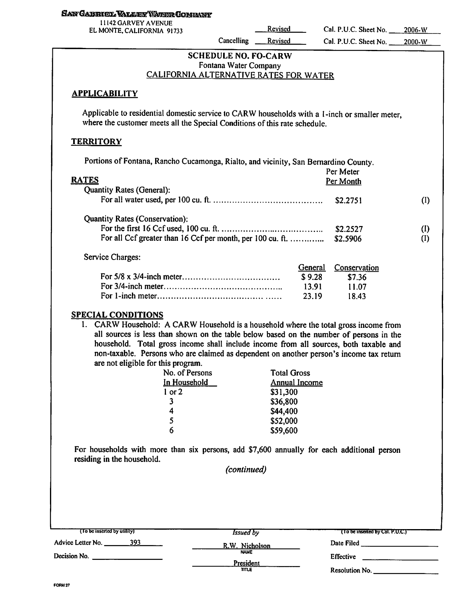#### **SAN GABRIEL VALLEY WARER COMPANY**

| 11142 GARVEY AVENUE        |  |  |
|----------------------------|--|--|
| EL MONTE, CALIFORNIA 91733 |  |  |

Revised Cal. P.U.C. Sheet No. Cancelling Revised Cal. P.U.C. Sheet No. 2000-W

2006-W

| <b>SCHEDULE NO. FO-CARW</b>                   |
|-----------------------------------------------|
| Fontana Water Company                         |
| <u>CALIFORNIA ALTERNATIVE RATES FOR WATER</u> |

#### *APPLICABILITY*

Applicable to residential domestic service to CARW households with a 1-inch or smaller meter, where the customer meets all the Special Conditions of this rate schedule.

#### *TERRITORY*

| Portions of Fontana, Rancho Cucamonga, Rialto, and vicinity, San Bernardino County. |           |              |           |
|-------------------------------------------------------------------------------------|-----------|--------------|-----------|
|                                                                                     | Per Meter |              |           |
| <b>RATES</b>                                                                        |           | Per Month    |           |
| <b>Quantity Rates (General):</b>                                                    |           |              |           |
|                                                                                     |           | \$2,2751     | (I)       |
| <b>Quantity Rates (Conservation):</b>                                               |           |              |           |
|                                                                                     |           | \$2.2527     | $\rm (I)$ |
| For all Ccf greater than 16 Ccf per month, per 100 cu. ft.                          |           | \$2.5906     | (1)       |
| Service Charges:                                                                    |           |              |           |
|                                                                                     | General   | Conservation |           |
|                                                                                     | \$9.28    | \$7.36       |           |
|                                                                                     | 13.91     | 11.07        |           |
|                                                                                     | 23.19     | 18.43        |           |

#### *SPECIAL CONDITIONS*

1. CARW Household: A CARW Household is a household where the total gross income from all sources is less than shown on the table below based on the number of persons in the household. Total gross income shall include income from all sources, both taxable and non-taxable. Persons who are claimed as dependent on another person's income tax return are not eligible for this program.

| No. of Persons      | <b>Total Gross</b>   |  |  |
|---------------------|----------------------|--|--|
| <u>In Household</u> | <b>Annual Income</b> |  |  |
| $1$ or $2$          | \$31,300             |  |  |
| $\mathbf{3}$        | \$36,800             |  |  |
| 4                   | \$44,400             |  |  |
| 5                   | \$52,000             |  |  |
|                     | \$59,600             |  |  |

For households with more than six persons, add \$7,600 annually for each additional person residing in the household.

**(continued)**

| (To be inserted by utility) | <i>Issued</i> by         | (To be inserted by Cal. P.U.C.) |  |
|-----------------------------|--------------------------|---------------------------------|--|
| 393<br>Advice Letter No.    | R.W. Nicholson           | Date Filed                      |  |
| Decision No.                | <b>NAME</b><br>President | <b>Effective</b>                |  |
|                             | TITLE                    | Resolution No.                  |  |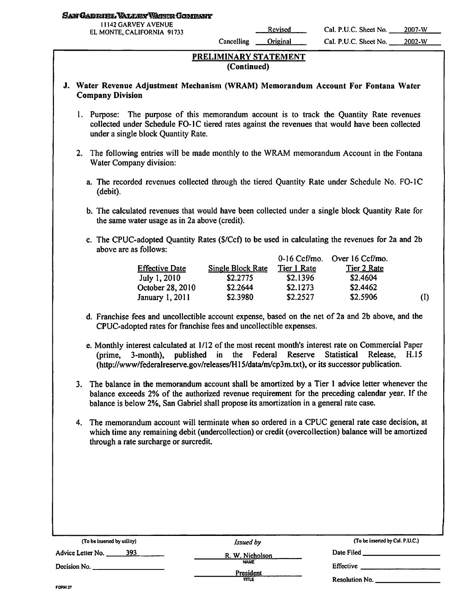#### San Cabriel Vallex Weige Company

| <b>11142 GARVEY AVENUE</b>  |  |  |
|-----------------------------|--|--|
| EL MONTE, CALIFORNIA  91733 |  |  |

*Cancelling Original Cal. P.U.C. Sheet No. 2002-W*

# PRELIMINARY STATEMENT (Continued)

## J. Water Revenue Adjustment Mechanism (WRAM) Memorandum Account For Fontana Water Company Division

- 1. Purpose: The purpose of this memorandum account is to track the Quantity Rate revenues collected under Schedule FO-1C tiered rates against the revenues that would have been collected under a single block Quantity Rate.
- 2. The following entries will be made monthly to the WRAM memorandum Account in the Fontana Water Company division:
	- a. The recorded revenues collected through the tiered Quantity Rate under Schedule No. FO-1C (debit).
	- b. The calculated revenues that would have been collected under a single block Quantity Rate for the same water usage as in 2a above (credit).
	- c. The CPUC-adopted Quantity Rates (\$/Ccf) to be used in calculating the revenues for 2a and 2b above are as follows:

|                       |                          |             | $0-16$ Ccf/mo. Over $16$ Ccf/mo. |           |
|-----------------------|--------------------------|-------------|----------------------------------|-----------|
| <b>Effective Date</b> | <b>Single Block Rate</b> | Tier 1 Rate | Tier 2 Rate                      |           |
| July 1, 2010          | \$2,2775                 | \$2.1396    | \$2.4604                         |           |
| October 28, 2010      | \$2.2644                 | \$2.1273    | \$2.4462                         |           |
| January 1, 2011       | \$2.3980                 | \$2.2527    | \$2.5906                         | $\rm (I)$ |

- d. Franchise fees and uncollectible account expense, based on the net of 2a and 2b above, and the CPUC-adopted rates for franchise fees and uncollectible expenses.
- e. Monthly interest calculated at 1/12 of the most recent month's interest rate on Commercial Paper (prime, 3-month), published in the Federal Reserve Statistical Release, H.15 (http://www/federalreserve.gov/releases/H15/data/m/cp3m.txt), or its successor publication.
- 3. The balance in the memorandum account shall be amortized by a Tier 1 advice letter whenever the balance exceeds 2% of the authorized revenue requirement for the preceding calendar year. If the balance is below 2%, San Gabriel shall propose its amortization in a general rate case.
- 4. The memorandum account will terminate when so ordered in a CPUC general rate case decision, at which time any remaining debit (undercollection) or credit (overcollection) balance will be amortized through a rate surcharge or surcredit.

| (To be inserted by utility) | <i>Issued by</i>          | (To be inserted by Cal. P.U.C.) |  |
|-----------------------------|---------------------------|---------------------------------|--|
| 393<br>Advice Letter No.    | R. W. Nicholson           | Date Filed <b>Exercise 2018</b> |  |
| Decision No.                | <b>NAME</b>               | Effective                       |  |
|                             | President<br><b>TTTLE</b> | Resolution No.                  |  |
| FORM 27                     |                           |                                 |  |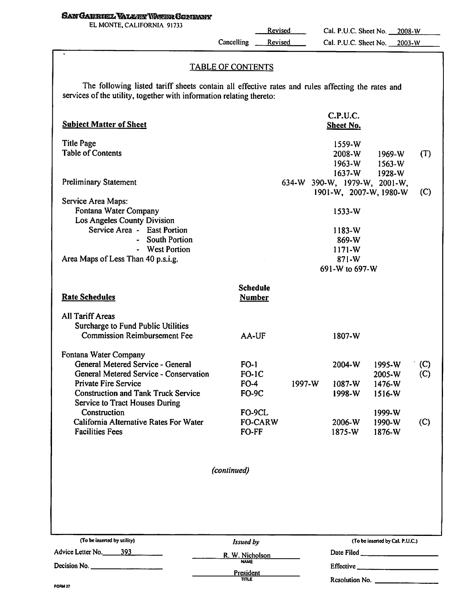## SAW CABRIEL VALLEY WATER COMPANY

EL MONTE, CALIFORNIA 91733

Cancelling Revised

Revised

# TABLE OF CONTENTS

The following listed tariff sheets contain all effective rates and rules affecting the rates and services of the utility, together with information relating thereto:

| <b>Subject Matter of Sheet</b>                                                                                                                                                    |                                             |                                       | C.P.U.C.<br><b>Sheet No.</b> |                                                                                                                                                                                                                                                                                                                                                                                                                                                                                                  |            |
|-----------------------------------------------------------------------------------------------------------------------------------------------------------------------------------|---------------------------------------------|---------------------------------------|------------------------------|--------------------------------------------------------------------------------------------------------------------------------------------------------------------------------------------------------------------------------------------------------------------------------------------------------------------------------------------------------------------------------------------------------------------------------------------------------------------------------------------------|------------|
| <b>Title Page</b><br><b>Table of Contents</b>                                                                                                                                     |                                             |                                       | 1559-W<br>2008-W<br>$1963-W$ | $1969-W$<br>$1563-W$                                                                                                                                                                                                                                                                                                                                                                                                                                                                             | (T)        |
| <b>Preliminary Statement</b>                                                                                                                                                      |                                             | 634-W 390-W, 1979-W, 2001-W,          | $1637-W$                     | 1928-W<br>1901-W, 2007-W, 1980-W                                                                                                                                                                                                                                                                                                                                                                                                                                                                 | (C)        |
| Service Area Maps:<br>Fontana Water Company<br>Los Angeles County Division<br>Service Area - East Portion<br>- South Portion                                                      |                                             |                                       | 1533-W<br>$1183-W$<br>869-W  |                                                                                                                                                                                                                                                                                                                                                                                                                                                                                                  |            |
| - West Portion<br>Area Maps of Less Than 40 p.s.i.g.                                                                                                                              |                                             | $1171-W$<br>$871-W$<br>691-W to 697-W |                              |                                                                                                                                                                                                                                                                                                                                                                                                                                                                                                  |            |
| <b>Rate Schedules</b>                                                                                                                                                             | <b>Schedule</b><br><b>Number</b>            |                                       |                              |                                                                                                                                                                                                                                                                                                                                                                                                                                                                                                  |            |
| <b>All Tariff Areas</b><br>Surcharge to Fund Public Utilities<br><b>Commission Reimbursement Fee</b>                                                                              | AA-UF                                       |                                       | 1807-W                       |                                                                                                                                                                                                                                                                                                                                                                                                                                                                                                  |            |
| Fontana Water Company<br>General Metered Service - General<br>General Metered Service - Conservation<br><b>Private Fire Service</b><br><b>Construction and Tank Truck Service</b> | $FO-1$<br>$FO-IC$<br>$FO-4$<br><b>FO-9C</b> | $1997 - W$                            | $2004-W$<br>1087-W<br>1998-W | 1995-W<br>2005-W<br>1476-W<br>1516-W                                                                                                                                                                                                                                                                                                                                                                                                                                                             | (C)<br>(C) |
| <b>Service to Tract Houses During</b><br>Construction<br>California Alternative Rates For Water<br><b>Facilities Fees</b>                                                         | FO-9CL<br><b>FO-CARW</b><br>FO-FF           |                                       | 2006-W<br>$1875-W$           | 1999-W<br>1990-W<br>1876-W                                                                                                                                                                                                                                                                                                                                                                                                                                                                       | (C)        |
|                                                                                                                                                                                   | (continued)                                 |                                       |                              |                                                                                                                                                                                                                                                                                                                                                                                                                                                                                                  |            |
|                                                                                                                                                                                   |                                             |                                       |                              |                                                                                                                                                                                                                                                                                                                                                                                                                                                                                                  |            |
| (To be inserted by utility)                                                                                                                                                       | Issued by                                   |                                       |                              | (To be inserted by Cal. P.U.C.)                                                                                                                                                                                                                                                                                                                                                                                                                                                                  |            |
| Advice Letter No. ______393<br>Decision No. $\qquad \qquad$                                                                                                                       | R. W. Nicholson<br><b>NAME</b>              |                                       |                              | $Effective$ <sub>1</sub> $1/2$ <sub>1</sub> $1/2$ <sub>1</sub> $1/2$ <sub>1</sub> $1/2$ <sub>1</sub> $1/2$ <sub>1</sub> $1/2$ <sub>1</sub> $1/2$ <sub>1</sub> $1/2$ <sub>1</sub> $1/2$ <sub>1</sub> $1/2$ <sub>1</sub> $1/2$ <sub>1</sub> $1/2$ <sub>1</sub> $1/2$ <sub>1</sub> $1/2$ <sub>1</sub> $1/2$ <sub>1</sub> $1/2$ <sub>1</sub> $1/2$ <sub>1</sub> $1/2$ <sub>1</sub> $1/2$ <sub>1</sub> $1/2$ <sub>1</sub> $1/2$ <sub>1</sub> $1/2$ <sub>1</sub> $1/2$ <sub>1</sub> $1/2$ <sub>1</sub> |            |
|                                                                                                                                                                                   | <b>President</b><br><b>TITLE</b>            |                                       | Resolution No.               |                                                                                                                                                                                                                                                                                                                                                                                                                                                                                                  |            |